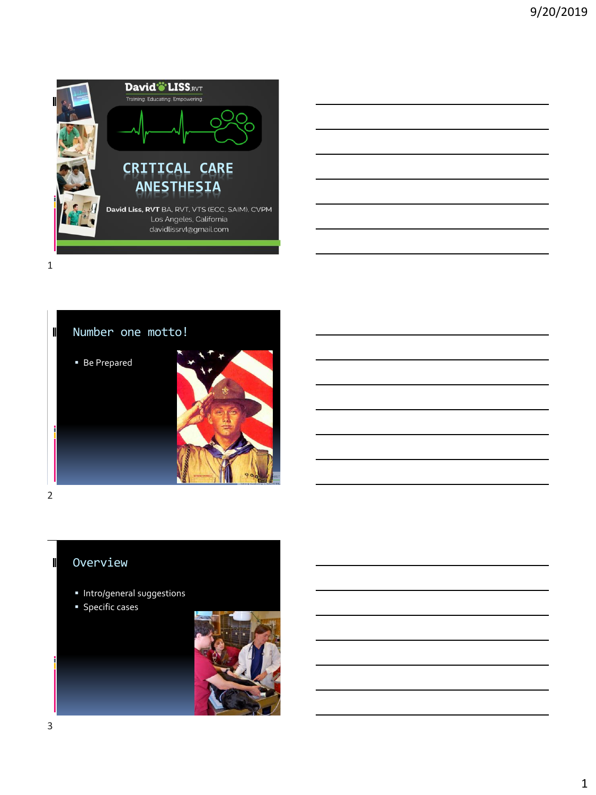



 $\blacksquare$ 

# Overview

- Intro/general suggestions
- **•** Specific cases

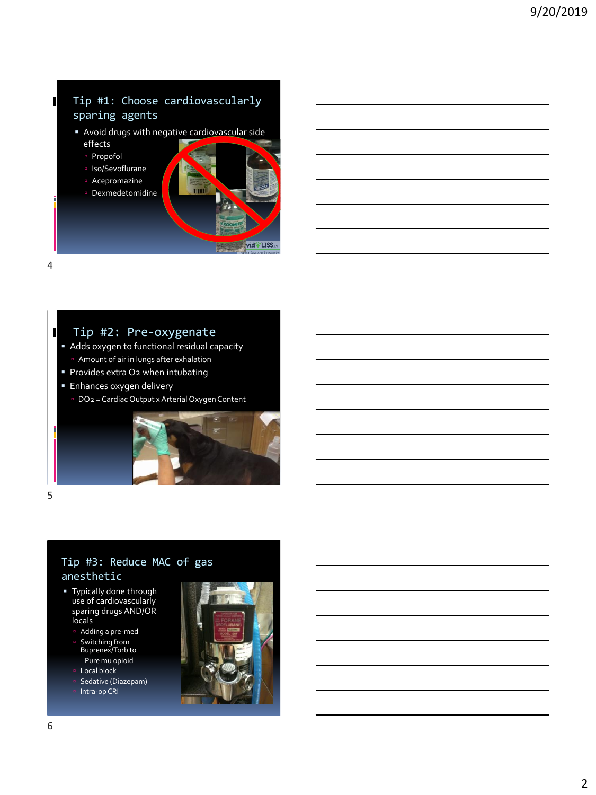#### Tip #1: Choose cardiovascularly sparing agents

- Avoid drugs with negative cardiovascular side effects
	- Propofol
	- Iso/Sevoflurane
	- Acepromazine
	- Dexmedetomidine



4

 $\blacksquare$ 

 $\mathbf I$ 

## Tip #2: Pre-oxygenate

- Adds oxygen to functional residual capacity Amount of air in lungs after exhalation
- **Provides extra O2 when intubating**
- **Enhances oxygen delivery** 
	- DO2 = Cardiac Output x Arterial Oxygen Content



5

### Tip #3: Reduce MAC of gas anesthetic

- Typically done through use of cardiovascularly sparing drugs AND/OR locals
	- Adding a pre-med Switching from Buprenex/Torb to
	- Pure mu opioid
	- Local block
	- Sedative (Diazepam)
	- Intra-op CRI

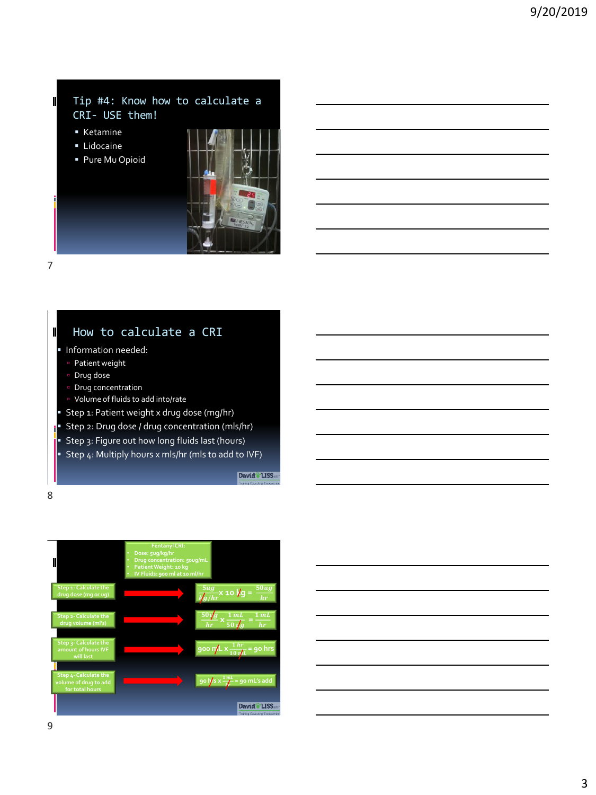#### Tip #4: Know how to calculate a CRI- USE them!

- Ketamine
- **·** Lidocaine
- Pure Mu Opioid



# How to calculate a CRI

- **·** Information needed:
	- Patient weight
	- Drug dose
- **Drug concentration**
- Volume of fluids to add into/rate
- **Step 1: Patient weight x drug dose (mg/hr)**
- Step 2: Drug dose / drug concentration (mls/hr)
- Step 3: Figure out how long fluids last (hours)
- Step 4: Multiply hours x mls/hr (mls to add to IVF)

David<sup>\*</sup>LISS

8

7

 $\mathbf I$ 

 $\mathbf I$ 



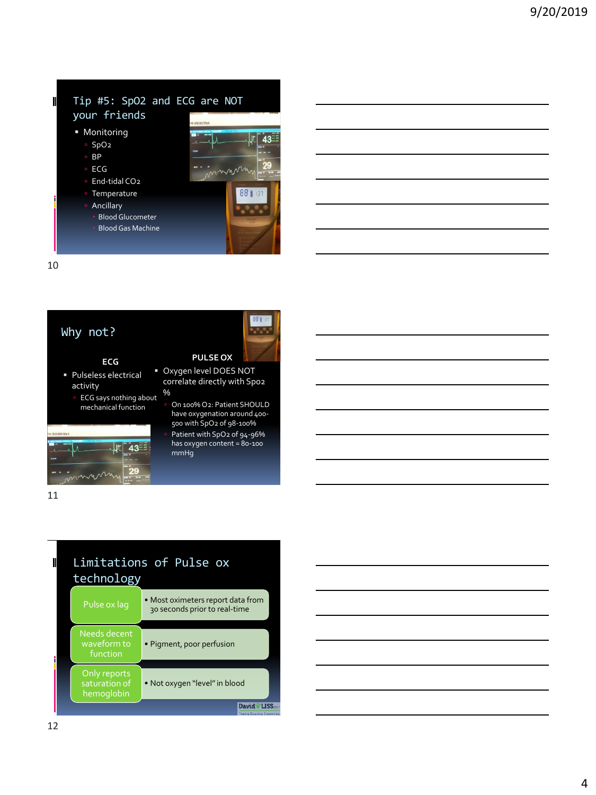#### Tip #5: SpO2 and ECG are NOT your friends

- Monitoring
	- SpO2
	- BP
	- □ ECG
	- End-tidal CO<sub>2</sub>
	- Temperature
	- Ancillary
		- Blood Glucometer
	- Blood Gas Machine



88 11  $\overline{\phantom{a}}^{\phantom{\dagger}}$ 

**PULSE OX Day of DOES NOT** correlate directly with Spo2

> On 100% O2: Patient SHOULD have oxygenation around 400- 500 with SpO2 of 98-100% Patient with SpO2 of 94-96% has oxygen content = 80-100

10

 $\blacksquare$ 

### Why not?

#### **ECG**

- Pulseless electrical activity
- ECG says nothing about mechanical function



11



%

mmHg

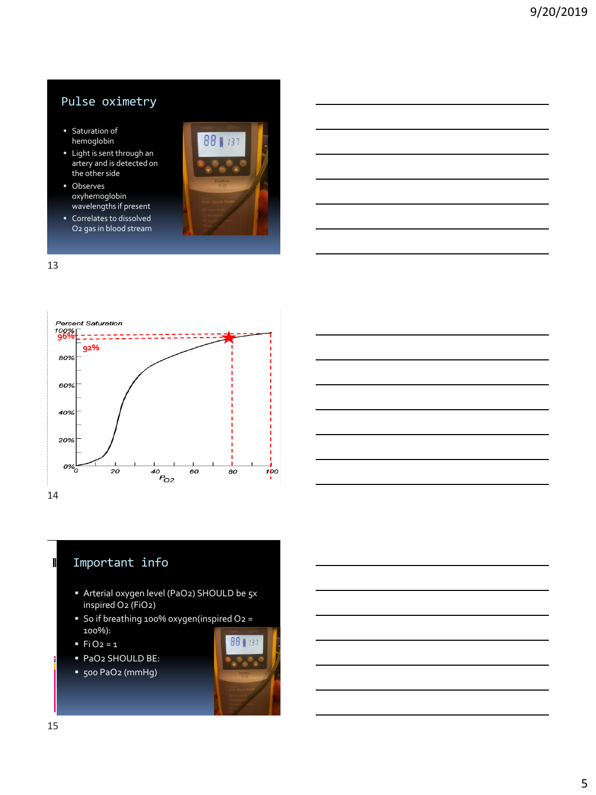# Pulse oximetry

- **■** Saturation of hemoglobin
- Light is sent through an artery and is detected on the other side
- Observes oxyhemoglobin wavelengths if present
- Correlates to dissolved O2 gas in blood stream









- Arterial oxygen level (PaO2) SHOULD be 5x inspired O2 (FiO2)
- So if breathing 100% oxygen(inspired O2 = 100%):
- $\blacksquare$  Fi O<sub>2</sub> = 1
- PaO2 SHOULD BE:
- 500 PaO2 (mmHg)



 $\blacksquare$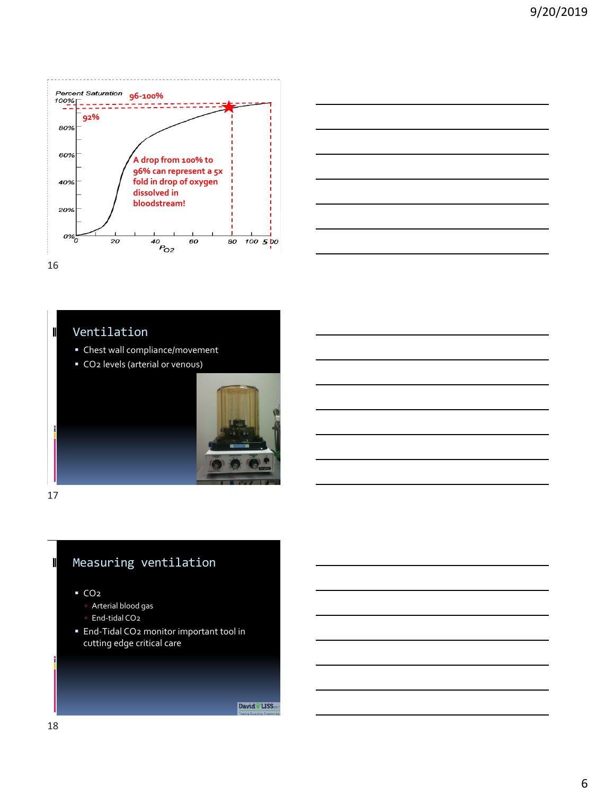



Ventilation

- Chest wall compliance/movement
- CO2 levels (arterial or venous)



17

 $\blacksquare$ 

 $\blacksquare$ 

# Measuring ventilation

▪ CO2

- Arterial blood gas
- End-tidal CO<sub>2</sub>
- **End-Tidal CO2 monitor important tool in** cutting edge critical care

David<sup>\*</sup>LISS.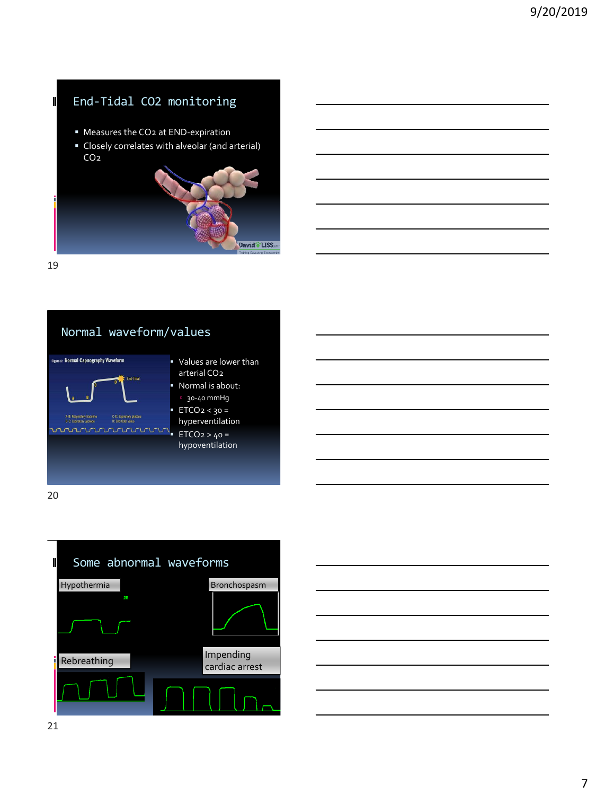# End-Tidal CO2 monitoring

- Measures the CO<sub>2</sub> at END-expiration
- Closely correlates with alveolar (and arterial) CO2



19

 $\blacksquare$ 



20



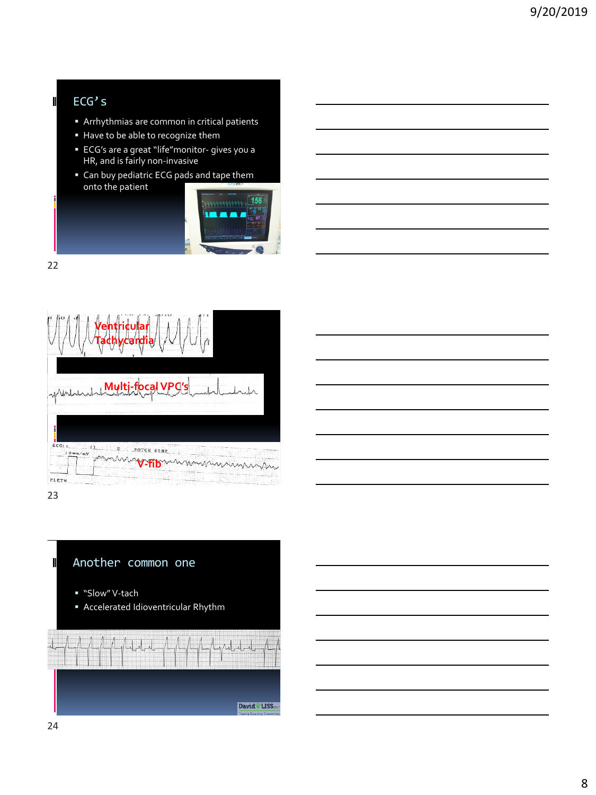# ECG's

 $\blacksquare$ 

- Arrhythmias are common in critical patients
- Have to be able to recognize them
- ECG's are a great "life"monitor- gives you a HR, and is fairly non-invasive
- Can buy pediatric ECG pads and tape them onto the patient



22



23

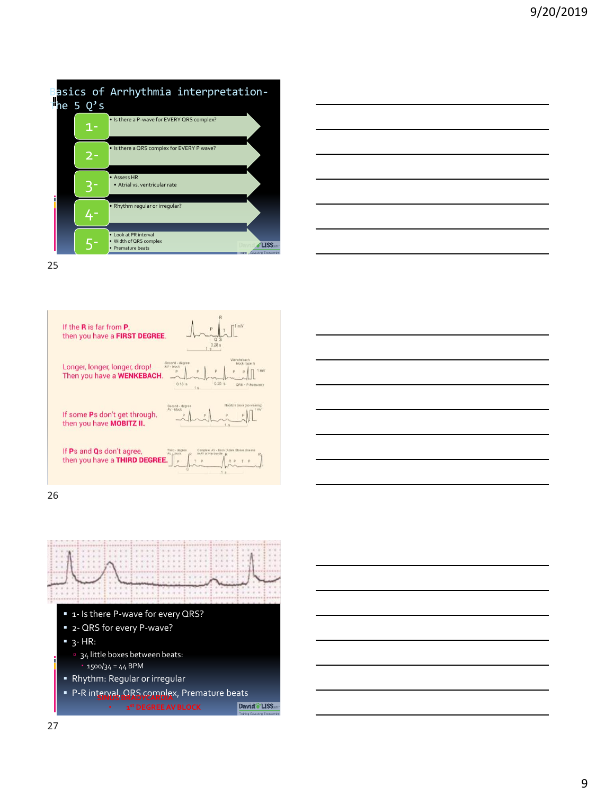







26



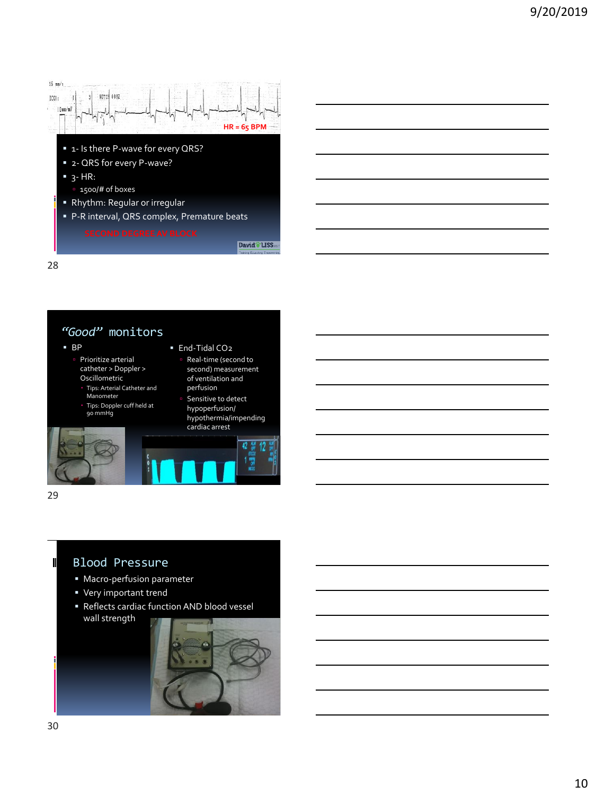

#### *"Good"* monitors ▪ BP

- Prioritize arterial catheter > Doppler >
	- Oscillometric Tips: Arterial Catheter and Manometer
	- Tips: Doppler cuff held at 90 mmHg
- perfusion Sensitive to detect hypoperfusion/ hypothermia/impending cardiac arrest

42

 Real-time (second to second) measurement of ventilation and

■ End-Tidal CO<sub>2</sub>



29

T

#### Blood Pressure

- Macro-perfusion parameter
- Very important trend
- Reflects cardiac function AND blood vessel wall strength

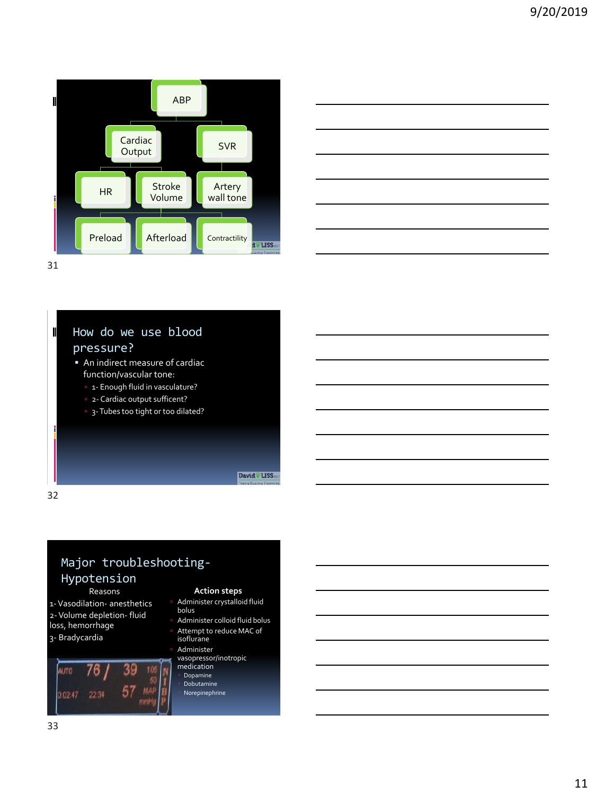



 $\mathbf I$ 

#### How do we use blood pressure? **An indirect measure of cardiac** function/vascular tone: <sup>1</sup> 1- Enough fluid in vasculature?

- <sup>2</sup> 2- Cardiac output sufficent?
- <sup>9</sup> 3- Tubes too tight or too dilated?

David<sup>\*</sup> LISS

32

# Major troubleshooting-

# Hypotension

Reasons

1-Vasodilation- anesthetics 2-Volume depletion- fluid loss, hemorrhage 3- Bradycardia

#### 39 **ALTO** 76.  $57$ MAF 02.47 22.34 mmH

#### **Action steps**

- Administer crystalloid fluid bolus
- Administer colloid fluid bolus
- Attempt to reduce MAC of isoflurane Administer
- vasopressor/inotropic medication
- Dopamine
- Dobutamine
- Norepinephrine